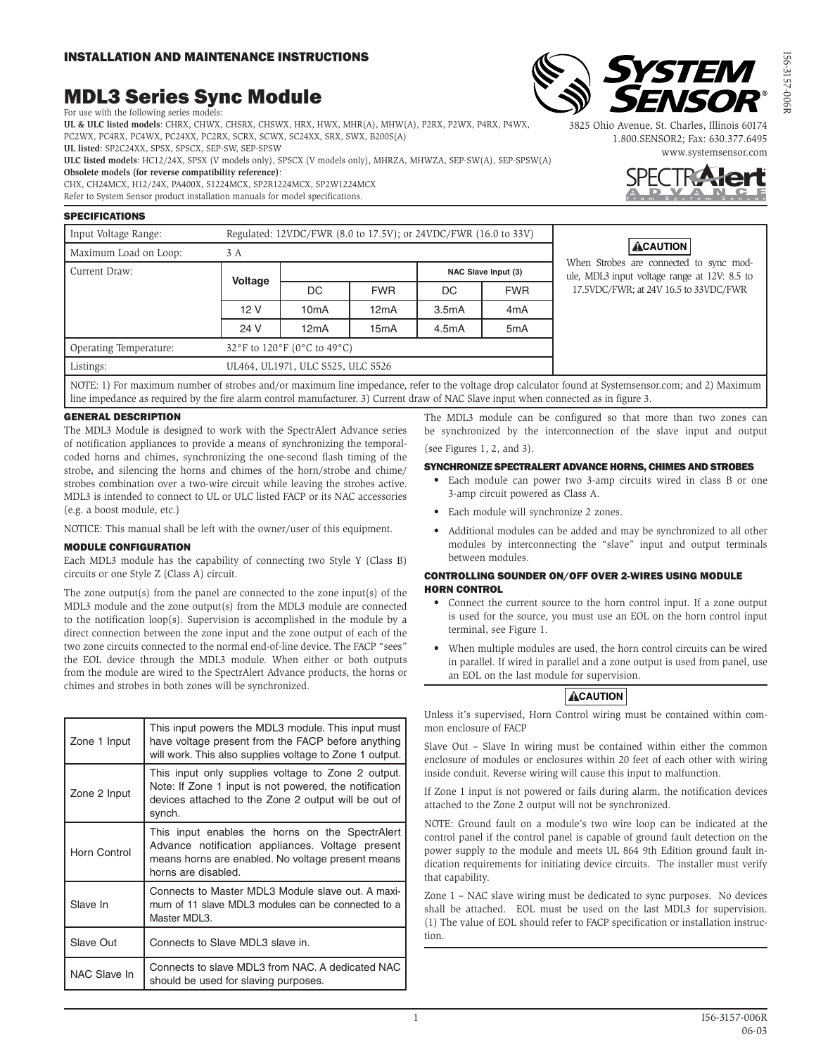# MDL3 Series Sync Module For use with the following series models:

**UL & ULC listed models**: CHRX, CHWX, CHSRX, CHSWX, HRX, HWX, MHR(A), MHW(A), P2RX, P2WX, P4RX, P4WX, PC2WX, PC4RX, PC4WX, PC24XX, PC2RX, SCRX, SCWX, SC24XX, SRX, SWX, B200S(A)

**UL listed**: SP2C24XX, SPSX, SPSCX, SEP-SW, SEP-SPSW

**ULC listed models**: HC12/24X, SPSX (V models only), SPSCX (V models only), MHRZA, MHWZA, SEP-SW(A), SEP-SPSW(A) **Obsolete models (for reverse compatibility reference)**:

CHX, CH24MCX, H12/24X, PA400X, S1224MCX, SP2R1224MCX, SP2W1224MCX Refer to System Sensor product installation manuals for model specifications.

#### SPECIFICATIONS

| Input Voltage Range:                                                                                                                                 | Regulated: 12VDC/FWR (8.0 to 17.5V); or 24VDC/FWR (16.0 to 33V) |      |            |                     |                  | ACAUTION                                                                                |  |
|------------------------------------------------------------------------------------------------------------------------------------------------------|-----------------------------------------------------------------|------|------------|---------------------|------------------|-----------------------------------------------------------------------------------------|--|
| Maximum Load on Loop:                                                                                                                                | 3 A                                                             |      |            |                     |                  |                                                                                         |  |
| Current Draw:                                                                                                                                        |                                                                 |      |            | NAC Slave Input (3) |                  | When Strobes are connected to sync mod-<br>ule, MDL3 input voltage range at 12V: 8.5 to |  |
|                                                                                                                                                      | <b>Voltage</b>                                                  | DC   | <b>FWR</b> | DC.                 | <b>FWR</b>       | 17.5VDC/FWR; at 24V 16.5 to 33VDC/FWR                                                   |  |
|                                                                                                                                                      | 12 V                                                            | 10mA | 12mA       | 3.5mA               | 4 <sub>m</sub> A |                                                                                         |  |
|                                                                                                                                                      | 24 V                                                            | 12mA | 15mA       | 4.5mA               | 5 <sub>m</sub> A |                                                                                         |  |
| Operating Temperature:                                                                                                                               | 32°F to 120°F (0°C to 49°C)                                     |      |            |                     |                  |                                                                                         |  |
| Listings:                                                                                                                                            | UL464, UL1971, ULC S525, ULC S526                               |      |            |                     |                  |                                                                                         |  |
| NOTE: 1) For maximum number of strobes and/or maximum line impedance, refer to the voltage drop calculator found at Systemsensor.com: and 2) Maximum |                                                                 |      |            |                     |                  |                                                                                         |  |

NOTE: 1) For maximum number of strobes and/or maximum line impedance, refer to the voltage drop calculator found at Systemsensor.com; and 2) Maximum line impedance as required by the fire alarm control manufacturer. 3) Current draw of NAC Slave input when connected as in figure 3.

## GENERAL DESCRIPTION

The MDL3 Module is designed to work with the SpectrAlert Advance series of notification appliances to provide a means of synchronizing the temporalcoded horns and chimes, synchronizing the one-second flash timing of the strobe, and silencing the horns and chimes of the horn/strobe and chime/ strobes combination over a two-wire circuit while leaving the strobes active. MDL3 is intended to connect to UL or ULC listed FACP or its NAC accessories (e.g. a boost module, etc.)

NOTICE: This manual shall be left with the owner/user of this equipment.

## MODULE CONFIGURATION

Each MDL3 module has the capability of connecting two Style Y (Class B) circuits or one Style Z (Class A) circuit.

The zone output(s) from the panel are connected to the zone input(s) of the MDL3 module and the zone output(s) from the MDL3 module are connected to the notification loop(s). Supervision is accomplished in the module by a direct connection between the zone input and the zone output of each of the two zone circuits connected to the normal end-of-line device. The FACP "sees" the EOL device through the MDL3 module. When either or both outputs from the module are wired to the SpectrAlert Advance products, the horns or chimes and strobes in both zones will be synchronized.

| Zone 1 Input | This input powers the MDL3 module. This input must<br>have voltage present from the FACP before anything<br>will work. This also supplies voltage to Zone 1 output.             |  |
|--------------|---------------------------------------------------------------------------------------------------------------------------------------------------------------------------------|--|
| Zone 2 Input | This input only supplies voltage to Zone 2 output.<br>Note: If Zone 1 input is not powered, the notification<br>devices attached to the Zone 2 output will be out of<br>synch.  |  |
| Horn Control | This input enables the horns on the SpectrAlert<br>Advance notification appliances. Voltage present<br>means horns are enabled. No voltage present means<br>horns are disabled. |  |
| Slave In     | Connects to Master MDL3 Module slave out. A maxi-<br>mum of 11 slave MDL3 modules can be connected to a<br>Master MDL3.                                                         |  |
| Slave Out    | Connects to Slave MDL3 slave in.                                                                                                                                                |  |
| NAC Slave In | Connects to slave MDL3 from NAC. A dedicated NAC<br>should be used for slaving purposes.                                                                                        |  |

The MDL3 module can be configured so that more than two zones can be synchronized by the interconnection of the slave input and output (see Figures 1, 2, and 3).

#### SYNCHRONIZE SPECTRALERT ADVANCE HORNS, CHIMES AND STROBES

- Each module can power two 3-amp circuits wired in class B or one 3-amp circuit powered as Class A.
- Each module will synchronize 2 zones.
- Additional modules can be added and may be synchronized to all other modules by interconnecting the "slave" input and output terminals between modules.

#### CONTROLLING SOUNDER ON/OFF OVER 2-WIRES USING MODULE HORN CONTROL

- Connect the current source to the horn control input. If a zone output is used for the source, you must use an EOL on the horn control input terminal, see Figure 1.
- When multiple modules are used, the horn control circuits can be wired in parallel. If wired in parallel and a zone output is used from panel, use an EOL on the last module for supervision.

# **ACAUTION**

Unless it's supervised, Horn Control wiring must be contained within common enclosure of FACP

Slave Out – Slave In wiring must be contained within either the common enclosure of modules or enclosures within 20 feet of each other with wiring inside conduit. Reverse wiring will cause this input to malfunction.

If Zone 1 input is not powered or fails during alarm, the notification devices attached to the Zone 2 output will not be synchronized.

NOTE: Ground fault on a module's two wire loop can be indicated at the control panel if the control panel is capable of ground fault detection on the power supply to the module and meets UL 864 9th Edition ground fault indication requirements for initiating device circuits. The installer must verify that capability.

Zone 1 – NAC slave wiring must be dedicated to sync purposes. No devices shall be attached. EOL must be used on the last MDL3 for supervision. (1) The value of EOL should refer to FACP specification or installation instruction.



**STE** 

**VSO**